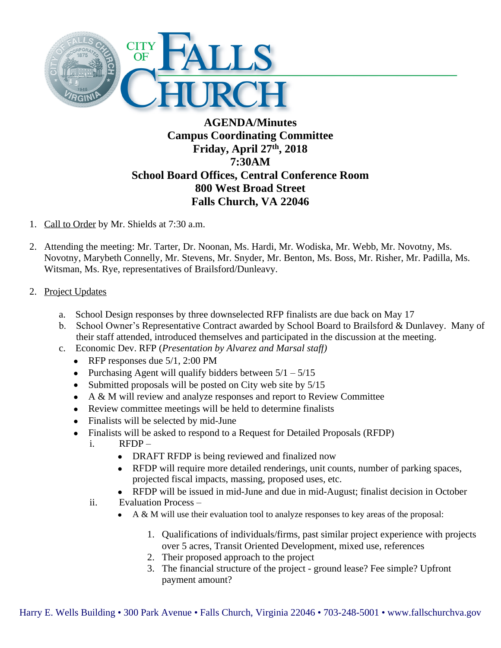

## **AGENDA/Minutes Campus Coordinating Committee Friday, April 27th, 2018 7:30AM School Board Offices, Central Conference Room 800 West Broad Street Falls Church, VA 22046**

- 1. Call to Order by Mr. Shields at 7:30 a.m.
- 2. Attending the meeting: Mr. Tarter, Dr. Noonan, Ms. Hardi, Mr. Wodiska, Mr. Webb, Mr. Novotny, Ms. Novotny, Marybeth Connelly, Mr. Stevens, Mr. Snyder, Mr. Benton, Ms. Boss, Mr. Risher, Mr. Padilla, Ms. Witsman, Ms. Rye, representatives of Brailsford/Dunleavy.
- 2. Project Updates
	- a. School Design responses by three downselected RFP finalists are due back on May 17
	- b. School Owner's Representative Contract awarded by School Board to Brailsford & Dunlavey. Many of their staff attended, introduced themselves and participated in the discussion at the meeting.
	- c. Economic Dev. RFP (*Presentation by Alvarez and Marsal staff)*
		- RFP responses due  $5/1$ , 2:00 PM
		- Purchasing Agent will qualify bidders between  $5/1 5/15$
		- $\bullet$  Submitted proposals will be posted on City web site by  $5/15$
		- A & M will review and analyze responses and report to Review Committee
		- Review committee meetings will be held to determine finalists
		- Finalists will be selected by mid-June
		- Finalists will be asked to respond to a Request for Detailed Proposals (RFDP)
			- i. RFDP
				- DRAFT RFDP is being reviewed and finalized now
				- RFDP will require more detailed renderings, unit counts, number of parking spaces, projected fiscal impacts, massing, proposed uses, etc.
				- RFDP will be issued in mid-June and due in mid-August; finalist decision in October
			- ii. Evaluation Process
				- A & M will use their evaluation tool to analyze responses to key areas of the proposal:
					- 1. Qualifications of individuals/firms, past similar project experience with projects over 5 acres, Transit Oriented Development, mixed use, references
					- 2. Their proposed approach to the project
					- 3. The financial structure of the project ground lease? Fee simple? Upfront payment amount?